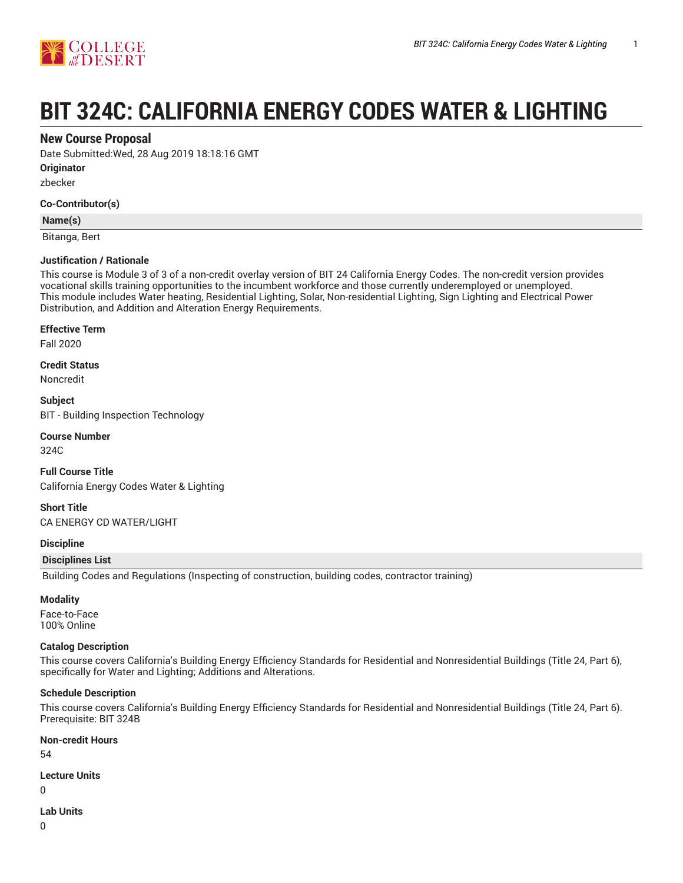

# **BIT 324C: CALIFORNIA ENERGY CODES WATER & LIGHTING**

# **New Course Proposal**

Date Submitted:Wed, 28 Aug 2019 18:18:16 GMT

**Originator**

zbecker

#### **Co-Contributor(s)**

#### **Name(s)**

Bitanga, Bert

#### **Justification / Rationale**

This course is Module 3 of 3 of a non-credit overlay version of BIT 24 California Energy Codes. The non-credit version provides vocational skills training opportunities to the incumbent workforce and those currently underemployed or unemployed. This module includes Water heating, Residential Lighting, Solar, Non-residential Lighting, Sign Lighting and Electrical Power Distribution, and Addition and Alteration Energy Requirements.

#### **Effective Term**

Fall 2020

**Credit Status**

Noncredit

**Subject** BIT - Building Inspection Technology

# **Course Number**

324C

**Full Course Title** California Energy Codes Water & Lighting

**Short Title** CA ENERGY CD WATER/LIGHT

#### **Discipline**

#### **Disciplines List**

Building Codes and Regulations (Inspecting of construction, building codes, contractor training)

#### **Modality**

Face-to-Face 100% Online

#### **Catalog Description**

This course covers California's Building Energy Efficiency Standards for Residential and Nonresidential Buildings (Title 24, Part 6), specifically for Water and Lighting; Additions and Alterations.

#### **Schedule Description**

This course covers California's Building Energy Efficiency Standards for Residential and Nonresidential Buildings (Title 24, Part 6). Prerequisite: BIT 324B

#### **Non-credit Hours**

54

# **Lecture Units**

 $\Omega$ 

#### **Lab Units**

0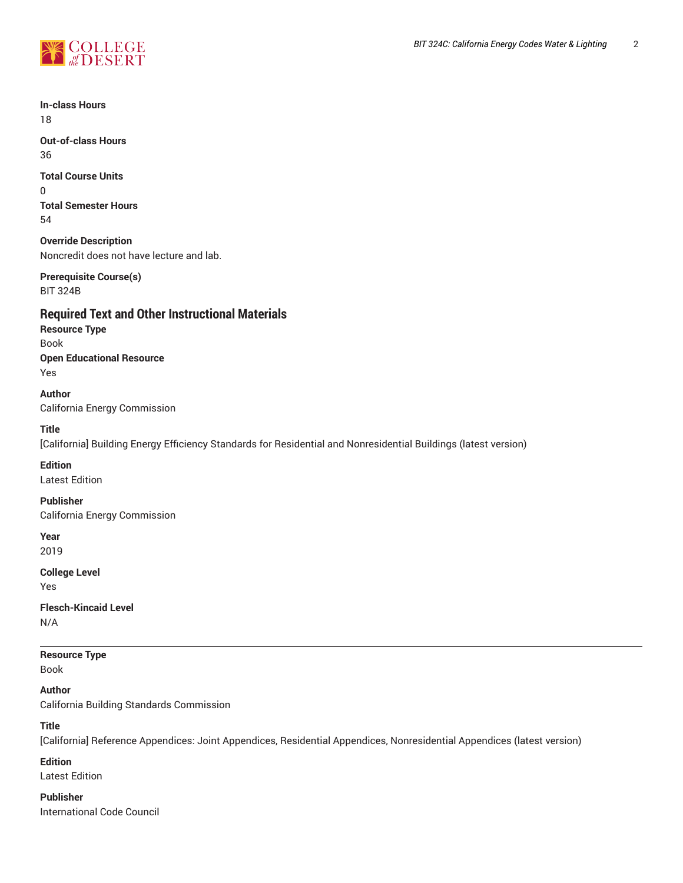

**In-class Hours** 18

**Out-of-class Hours** 36

**Total Course Units**

0 **Total Semester Hours** 54

**Override Description** Noncredit does not have lecture and lab.

**Prerequisite Course(s)** BIT 324B

# **Required Text and Other Instructional Materials**

**Resource Type** Book **Open Educational Resource** Yes

**Author** California Energy Commission

# **Title**

[California] Building Energy Efficiency Standards for Residential and Nonresidential Buildings (latest version)

# **Edition**

Latest Edition

#### **Publisher**

California Energy Commission

**Year** 2019

**College Level**

Yes

**Flesch-Kincaid Level** N/A

**Resource Type**

Book

**Author**

California Building Standards Commission

**Title**

[California] Reference Appendices: Joint Appendices, Residential Appendices, Nonresidential Appendices (latest version)

# **Edition**

Latest Edition

**Publisher** International Code Council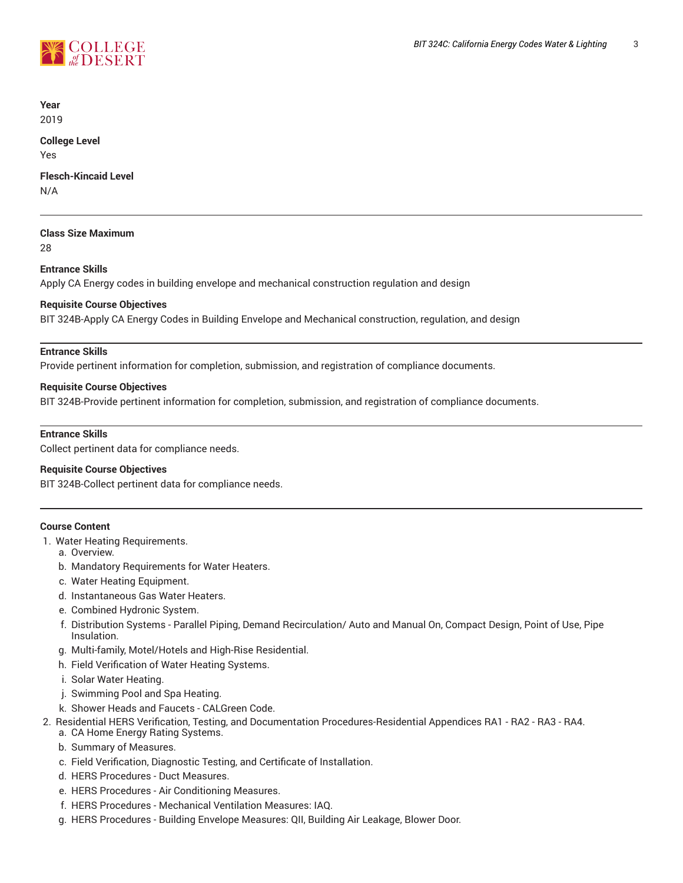

**Year** 2019

# **College Level**

Yes

**Flesch-Kincaid Level**

N/A

# **Class Size Maximum**

28

# **Entrance Skills**

Apply CA Energy codes in building envelope and mechanical construction regulation and design

# **Requisite Course Objectives**

BIT 324B-Apply CA Energy Codes in Building Envelope and Mechanical construction, regulation, and design

## **Entrance Skills**

Provide pertinent information for completion, submission, and registration of compliance documents.

## **Requisite Course Objectives**

BIT 324B-Provide pertinent information for completion, submission, and registration of compliance documents.

## **Entrance Skills**

Collect pertinent data for compliance needs.

#### **Requisite Course Objectives**

BIT 324B-Collect pertinent data for compliance needs.

# **Course Content**

- 1. Water Heating Requirements.
	- a. Overview.
	- b. Mandatory Requirements for Water Heaters.
	- c. Water Heating Equipment.
	- d. Instantaneous Gas Water Heaters.
	- e. Combined Hydronic System.
	- f. Distribution Systems Parallel Piping, Demand Recirculation/ Auto and Manual On, Compact Design, Point of Use, Pipe Insulation.
	- g. Multi-family, Motel/Hotels and High-Rise Residential.
	- h. Field Verification of Water Heating Systems.
	- i. Solar Water Heating.
	- j. Swimming Pool and Spa Heating.
	- k. Shower Heads and Faucets CALGreen Code.
- 2. Residential HERS Verification, Testing, and Documentation Procedures-Residential Appendices RA1 RA2 RA3 RA4.
	- a. CA Home Energy Rating Systems.
	- b. Summary of Measures.
	- c. Field Verification, Diagnostic Testing, and Certificate of Installation.
	- d. HERS Procedures Duct Measures.
	- e. HERS Procedures Air Conditioning Measures.
	- f. HERS Procedures Mechanical Ventilation Measures: IAQ.
	- g. HERS Procedures Building Envelope Measures: QII, Building Air Leakage, Blower Door.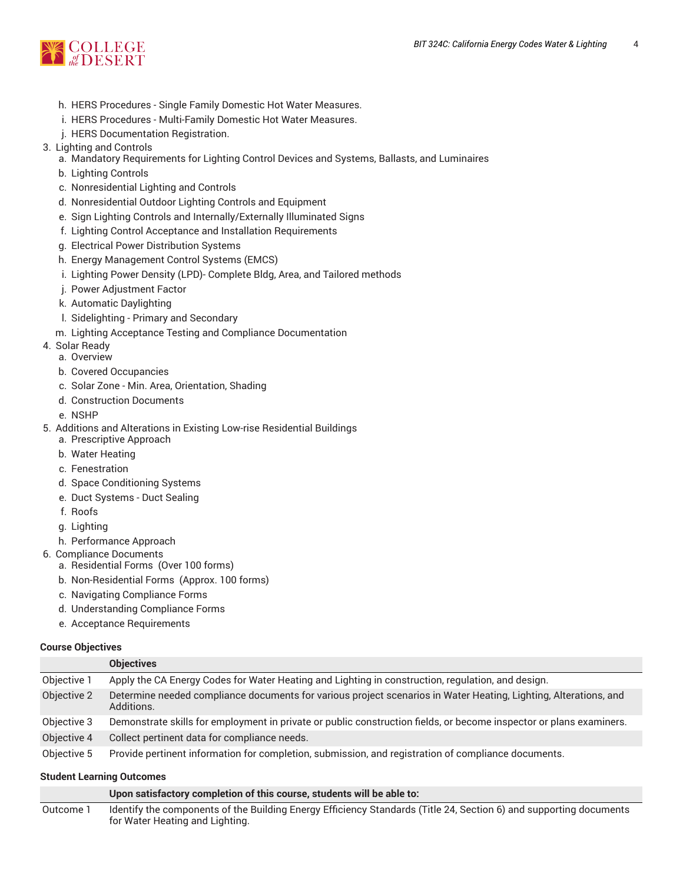

- h. HERS Procedures Single Family Domestic Hot Water Measures.
- i. HERS Procedures Multi-Family Domestic Hot Water Measures.
- j. HERS Documentation Registration.
- 3. Lighting and Controls
	- a. Mandatory Requirements for Lighting Control Devices and Systems, Ballasts, and Luminaires
	- b. Lighting Controls
	- c. Nonresidential Lighting and Controls
	- d. Nonresidential Outdoor Lighting Controls and Equipment
	- e. Sign Lighting Controls and Internally/Externally Illuminated Signs
	- f. Lighting Control Acceptance and Installation Requirements
	- g. Electrical Power Distribution Systems
	- h. Energy Management Control Systems (EMCS)
	- i. Lighting Power Density (LPD)- Complete Bldg, Area, and Tailored methods
	- j. Power Adjustment Factor
	- k. Automatic Daylighting
	- l. Sidelighting Primary and Secondary
	- m. Lighting Acceptance Testing and Compliance Documentation
- 4. Solar Ready
	- a. Overview
	- b. Covered Occupancies
	- c. Solar Zone Min. Area, Orientation, Shading
	- d. Construction Documents
	- e. NSHP
- 5. Additions and Alterations in Existing Low-rise Residential Buildings
	- a. Prescriptive Approach
	- b. Water Heating
	- c. Fenestration
	- d. Space Conditioning Systems
	- e. Duct Systems Duct Sealing
	- f. Roofs
	- g. Lighting
	- h. Performance Approach
- 6. Compliance Documents
	- a. Residential Forms (Over 100 forms)
	- b. Non-Residential Forms (Approx. 100 forms)
	- c. Navigating Compliance Forms
	- d. Understanding Compliance Forms
	- e. Acceptance Requirements

#### **Course Objectives**

|             | <b>Objectives</b>                                                                                                              |
|-------------|--------------------------------------------------------------------------------------------------------------------------------|
| Objective 1 | Apply the CA Energy Codes for Water Heating and Lighting in construction, regulation, and design.                              |
| Objective 2 | Determine needed compliance documents for various project scenarios in Water Heating, Lighting, Alterations, and<br>Additions. |
| Objective 3 | Demonstrate skills for employment in private or public construction fields, or become inspector or plans examiners.            |
| Objective 4 | Collect pertinent data for compliance needs.                                                                                   |
| Objective 5 | Provide pertinent information for completion, submission, and registration of compliance documents.                            |

#### **Student Learning Outcomes**

**Upon satisfactory completion of this course, students will be able to:**

Outcome 1 Identify the components of the Building Energy Efficiency Standards (Title 24, Section 6) and supporting documents for Water Heating and Lighting.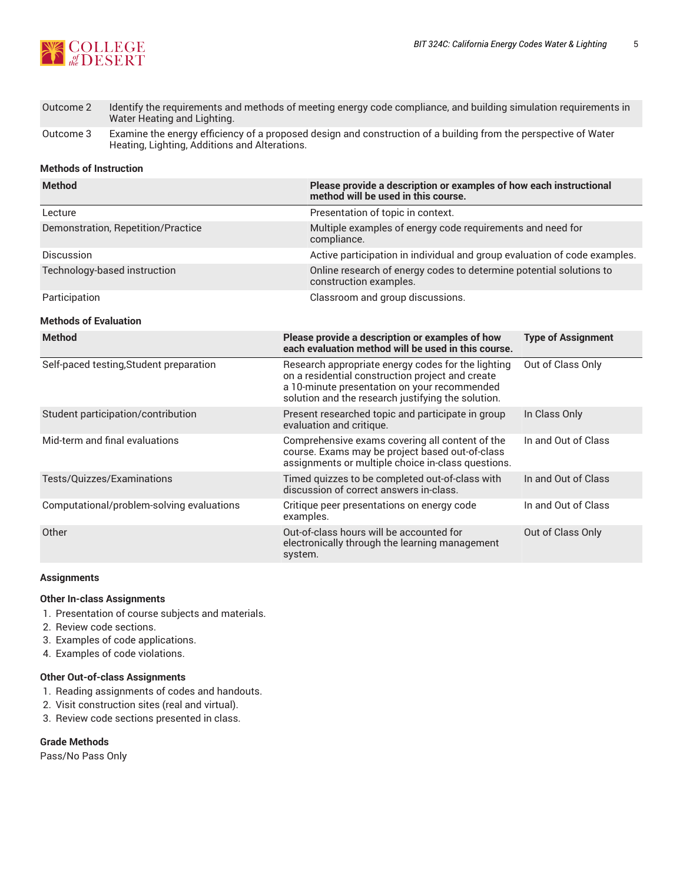

| Outcome 2 | Identify the requirements and methods of meeting energy code compliance, and building simulation requirements in |
|-----------|------------------------------------------------------------------------------------------------------------------|
|           | Water Heating and Lighting.                                                                                      |

Outcome 3 Examine the energy efficiency of a proposed design and construction of a building from the perspective of Water Heating, Lighting, Additions and Alterations.

#### **Methods of Instruction**

| <b>Method</b>                             | Please provide a description or examples of how each instructional<br>method will be used in this course.                                                                                                    |                                                                     |  |  |  |
|-------------------------------------------|--------------------------------------------------------------------------------------------------------------------------------------------------------------------------------------------------------------|---------------------------------------------------------------------|--|--|--|
| Lecture                                   | Presentation of topic in context.                                                                                                                                                                            |                                                                     |  |  |  |
| Demonstration, Repetition/Practice        | compliance.                                                                                                                                                                                                  | Multiple examples of energy code requirements and need for          |  |  |  |
| Discussion                                | Active participation in individual and group evaluation of code examples.                                                                                                                                    |                                                                     |  |  |  |
| Technology-based instruction              | construction examples.                                                                                                                                                                                       | Online research of energy codes to determine potential solutions to |  |  |  |
| Participation                             | Classroom and group discussions.                                                                                                                                                                             |                                                                     |  |  |  |
| <b>Methods of Evaluation</b>              |                                                                                                                                                                                                              |                                                                     |  |  |  |
| <b>Method</b>                             | Please provide a description or examples of how<br>each evaluation method will be used in this course.                                                                                                       | <b>Type of Assignment</b>                                           |  |  |  |
| Self-paced testing, Student preparation   | Research appropriate energy codes for the lighting<br>on a residential construction project and create<br>a 10-minute presentation on your recommended<br>solution and the research justifying the solution. | Out of Class Only                                                   |  |  |  |
| Student participation/contribution        | Present researched topic and participate in group<br>evaluation and critique.                                                                                                                                | In Class Only                                                       |  |  |  |
| Mid-term and final evaluations            | Comprehensive exams covering all content of the<br>course. Exams may be project based out-of-class<br>assignments or multiple choice in-class questions.                                                     | In and Out of Class                                                 |  |  |  |
| Tests/Quizzes/Examinations                | Timed quizzes to be completed out-of-class with<br>discussion of correct answers in-class.                                                                                                                   | In and Out of Class                                                 |  |  |  |
| Computational/problem-solving evaluations | Critique peer presentations on energy code<br>examples.                                                                                                                                                      | In and Out of Class                                                 |  |  |  |
| Other                                     | Out-of-class hours will be accounted for<br>electronically through the learning management<br>system.                                                                                                        | Out of Class Only                                                   |  |  |  |

#### **Assignments**

## **Other In-class Assignments**

- 1. Presentation of course subjects and materials.
- 2. Review code sections.
- 3. Examples of code applications.
- 4. Examples of code violations.

#### **Other Out-of-class Assignments**

- 1. Reading assignments of codes and handouts.
- 2. Visit construction sites (real and virtual).
- 3. Review code sections presented in class.

## **Grade Methods**

Pass/No Pass Only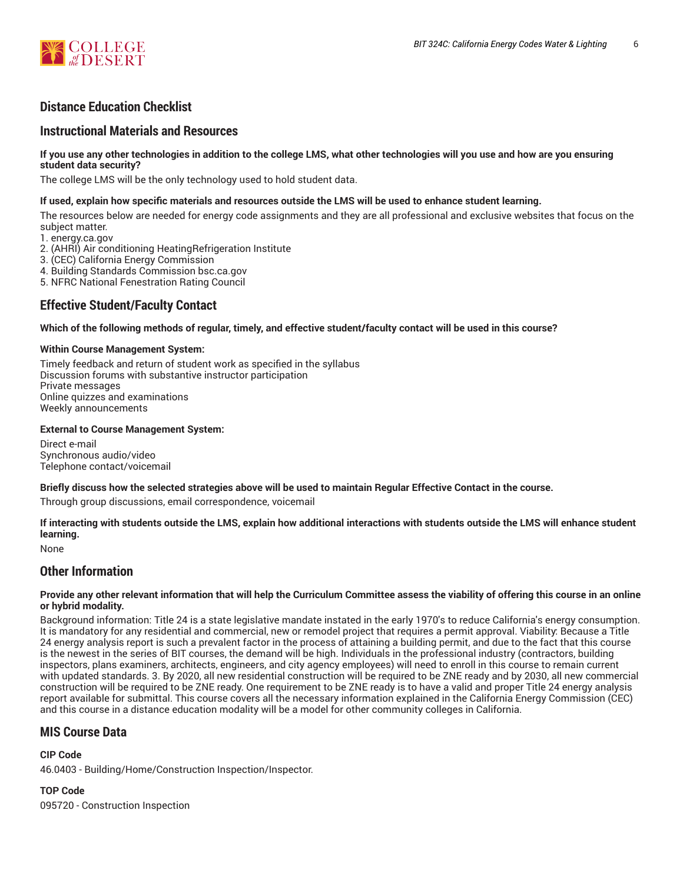

# **Distance Education Checklist**

# **Instructional Materials and Resources**

#### If you use any other technologies in addition to the college LMS, what other technologies will you use and how are you ensuring **student data security?**

The college LMS will be the only technology used to hold student data.

## **If used, explain how specific materials and resources outside the LMS will be used to enhance student learning.**

The resources below are needed for energy code assignments and they are all professional and exclusive websites that focus on the subject matter.

1. energy.ca.gov

- 2. (AHRI) Air conditioning HeatingRefrigeration Institute
- 3. (CEC) California Energy Commission
- 4. Building Standards Commission bsc.ca.gov
- 5. NFRC National Fenestration Rating Council

# **Effective Student/Faculty Contact**

#### Which of the following methods of regular, timely, and effective student/faculty contact will be used in this course?

#### **Within Course Management System:**

Timely feedback and return of student work as specified in the syllabus Discussion forums with substantive instructor participation Private messages Online quizzes and examinations Weekly announcements

#### **External to Course Management System:**

Direct e-mail Synchronous audio/video Telephone contact/voicemail

#### Briefly discuss how the selected strategies above will be used to maintain Regular Effective Contact in the course.

Through group discussions, email correspondence, voicemail

**If interacting with students outside the LMS, explain how additional interactions with students outside the LMS will enhance student learning.**

None

# **Other Information**

#### Provide any other relevant information that will help the Curriculum Committee assess the viability of offering this course in an online **or hybrid modality.**

Background information: Title 24 is a state legislative mandate instated in the early 1970's to reduce California's energy consumption. It is mandatory for any residential and commercial, new or remodel project that requires a permit approval. Viability: Because a Title 24 energy analysis report is such a prevalent factor in the process of attaining a building permit, and due to the fact that this course is the newest in the series of BIT courses, the demand will be high. Individuals in the professional industry (contractors, building inspectors, plans examiners, architects, engineers, and city agency employees) will need to enroll in this course to remain current with updated standards. 3. By 2020, all new residential construction will be required to be ZNE ready and by 2030, all new commercial construction will be required to be ZNE ready. One requirement to be ZNE ready is to have a valid and proper Title 24 energy analysis report available for submittal. This course covers all the necessary information explained in the California Energy Commission (CEC) and this course in a distance education modality will be a model for other community colleges in California.

# **MIS Course Data**

#### **CIP Code**

46.0403 - Building/Home/Construction Inspection/Inspector.

**TOP Code** 095720 - Construction Inspection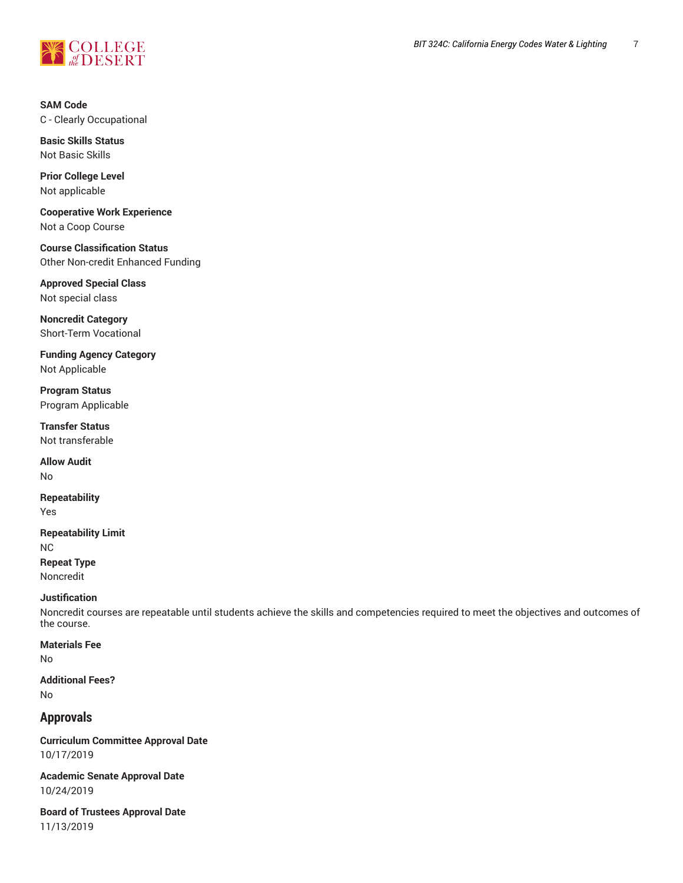

**SAM Code** C - Clearly Occupational

**Basic Skills Status** Not Basic Skills

**Prior College Level** Not applicable

**Cooperative Work Experience** Not a Coop Course

**Course Classification Status** Other Non-credit Enhanced Funding

**Approved Special Class** Not special class

**Noncredit Category** Short-Term Vocational

**Funding Agency Category** Not Applicable

**Program Status** Program Applicable

**Transfer Status** Not transferable

**Allow Audit** No

**Repeatability** Yes

**Repeatability Limit** NC **Repeat Type** Noncredit

#### **Justification**

Noncredit courses are repeatable until students achieve the skills and competencies required to meet the objectives and outcomes of the course.

**Materials Fee**

No

**Additional Fees?** No

# **Approvals**

**Curriculum Committee Approval Date** 10/17/2019

**Academic Senate Approval Date** 10/24/2019

**Board of Trustees Approval Date** 11/13/2019